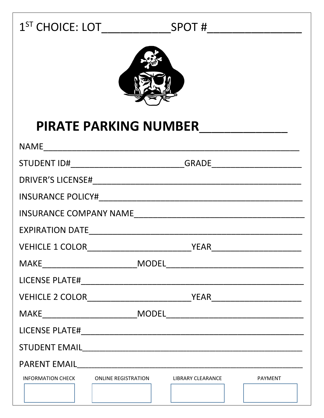## 



## **PIRATE PARKING NUMBER**

| STUDENT ID#________________________________GRADE________________________________ |                                     |
|----------------------------------------------------------------------------------|-------------------------------------|
|                                                                                  |                                     |
|                                                                                  |                                     |
|                                                                                  |                                     |
|                                                                                  |                                     |
|                                                                                  |                                     |
|                                                                                  |                                     |
|                                                                                  |                                     |
|                                                                                  |                                     |
| $\textsf{MAKE}\_\_\_\_\_\_\_\_\_\_ \$                                            |                                     |
|                                                                                  |                                     |
|                                                                                  |                                     |
|                                                                                  |                                     |
| <b>INFORMATION CHECK</b><br><b>ONLINE REGISTRATION</b>                           | <b>LIBRARY CLEARANCE</b><br>PAYMENT |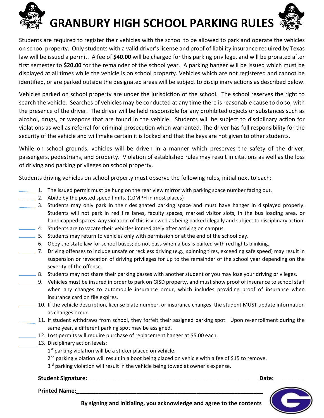

Students are required to register their vehicles with the school to be allowed to park and operate the vehicles on school property. Only students with a valid driver's license and proof of liability insurance required by Texas law will be issued a permit. A fee of **\$40.00** will be charged for this parking privilege, and will be prorated after first semester to **\$20.00** for the remainder of the school year. A parking hanger will be issued which must be displayed at all times while the vehicle is on school property. Vehicles which are not registered and cannot be identified, or are parked outside the designated areas will be subject to disciplinary actions as described below.

Vehicles parked on school property are under the jurisdiction of the school. The school reserves the right to search the vehicle. Searches of vehicles may be conducted at any time there is reasonable cause to do so, with the presence of the driver. The driver will be held responsible for any prohibited objects or substances such as alcohol, drugs, or weapons that are found in the vehicle. Students will be subject to disciplinary action for violations as well as referral for criminal prosecution when warranted. The driver has full responsibility for the security of the vehicle and will make certain it is locked and that the keys are not given to other students.

While on school grounds, vehicles will be driven in a manner which preserves the safety of the driver, passengers, pedestrians, and property. Violation of established rules may result in citations as well as the loss of driving and parking privileges on school property.

Students driving vehicles on school property must observe the following rules, initial next to each:

- $\pm$  1. The issued permit must be hung on the rear view mirror with parking space number facing out.
- 2. Abide by the posted speed limits. (10MPH in most places)
- 3. Students may only park in their designated parking space and must have hanger in displayed properly. Students will not park in red fire lanes, faculty spaces, marked visitor slots, in the bus loading area, or handicapped spaces. Any violation of this is viewed as being parked illegally and subject to disciplinary action.
- 4. Students are to vacate their vehicles immediately after arriving on campus.
- $=$  5. Students may return to vehicles only with permission or at the end of the school day.
	- 6. Obey the state law for school buses; do not pass when a bus is parked with red lights blinking.
	- 7. Driving offenses to include unsafe or reckless driving (e.g., spinning tires, exceeding safe speed) may result in suspension or revocation of driving privileges for up to the remainder of the school year depending on the severity of the offense.
- $= 8.$  Students may not share their parking passes with another student or you may lose your driving privileges.
- 9. Vehicles must be insured in order to park on GISD property, and must show proof of insurance to school staff when any changes to automobile insurance occur, which includes providing proof of insurance when insurance card on file expires.
- $-$  10. If the vehicle description, license plate number, or insurance changes, the student MUST update information as changes occur.
	- 11. If student withdraws from school, they forfeit their assigned parking spot. Upon re-enrollment during the same year, a different parking spot may be assigned.
- $\pm$  12. Lost permits will require purchase of replacement hanger at \$5.00 each.
	- 13. Disciplinary action levels:
		- $1<sup>st</sup>$  parking violation will be a sticker placed on vehicle.
		- $2^{nd}$  parking violation will result in a boot being placed on vehicle with a fee of \$15 to remove.
		- 3<sup>rd</sup> parking violation will result in the vehicle being towed at owner's expense.

## **Student Signature: Contained Student Signature: Contained Student Signature: Contained Student Signature: Contained Student Signature: Contained Student Signature: Contained Student Signature: Contained Stud**

**Printed Name:** 



**By signing and initialing, you acknowledge and agree to the contents**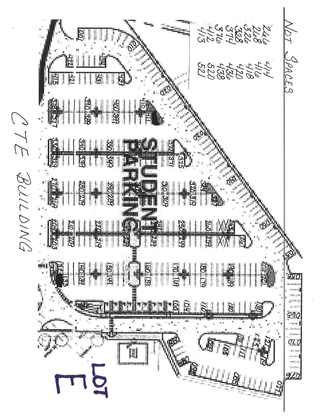N N N N N N N<br>1 N N N N N<br>7 N N N N N SPACES 图 325272800  $rac{1}{2}$ 378.37  $318$ 商業員 OTE BULLOING 330 329  $\frac{1}{25}$ 340  $\mathfrak{S}$  $\frac{32}{3}$ 375 地图  $34c$ **200 30P**<br>- 30P 370.879 290.289 SH. **ATTAS E** XXE 181  $25^{\circ}$  $\mathbb{Z}$ **ELETTE 2 3 1 2**  $\approx 10^{-4}$  $500$ (可可  $CLG$ alansari<br>Pamas di<br>Alfreda) 50 920